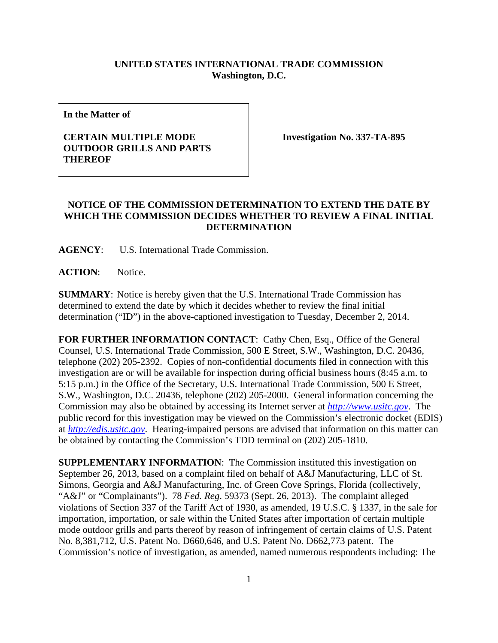## **UNITED STATES INTERNATIONAL TRADE COMMISSION Washington, D.C.**

**In the Matter of** 

## **CERTAIN MULTIPLE MODE OUTDOOR GRILLS AND PARTS THEREOF**

**Investigation No. 337-TA-895** 

## **NOTICE OF THE COMMISSION DETERMINATION TO EXTEND THE DATE BY WHICH THE COMMISSION DECIDES WHETHER TO REVIEW A FINAL INITIAL DETERMINATION**

**AGENCY**: U.S. International Trade Commission.

ACTION: Notice.

**SUMMARY**: Notice is hereby given that the U.S. International Trade Commission has determined to extend the date by which it decides whether to review the final initial determination ("ID") in the above-captioned investigation to Tuesday, December 2, 2014.

FOR FURTHER INFORMATION CONTACT: Cathy Chen, Esq., Office of the General Counsel, U.S. International Trade Commission, 500 E Street, S.W., Washington, D.C. 20436, telephone (202) 205-2392. Copies of non-confidential documents filed in connection with this investigation are or will be available for inspection during official business hours (8:45 a.m. to 5:15 p.m.) in the Office of the Secretary, U.S. International Trade Commission, 500 E Street, S.W., Washington, D.C. 20436, telephone (202) 205-2000. General information concerning the Commission may also be obtained by accessing its Internet server at *http://www.usitc.gov*. The public record for this investigation may be viewed on the Commission's electronic docket (EDIS) at *http://edis.usitc.gov*. Hearing-impaired persons are advised that information on this matter can be obtained by contacting the Commission's TDD terminal on (202) 205-1810.

**SUPPLEMENTARY INFORMATION**: The Commission instituted this investigation on September 26, 2013, based on a complaint filed on behalf of A&J Manufacturing, LLC of St. Simons, Georgia and A&J Manufacturing, Inc. of Green Cove Springs, Florida (collectively, "A&J" or "Complainants"). 78 *Fed. Reg*. 59373 (Sept. 26, 2013). The complaint alleged violations of Section 337 of the Tariff Act of 1930, as amended, 19 U.S.C. § 1337, in the sale for importation, importation, or sale within the United States after importation of certain multiple mode outdoor grills and parts thereof by reason of infringement of certain claims of U.S. Patent No. 8,381,712, U.S. Patent No. D660,646, and U.S. Patent No. D662,773 patent. The Commission's notice of investigation, as amended, named numerous respondents including: The